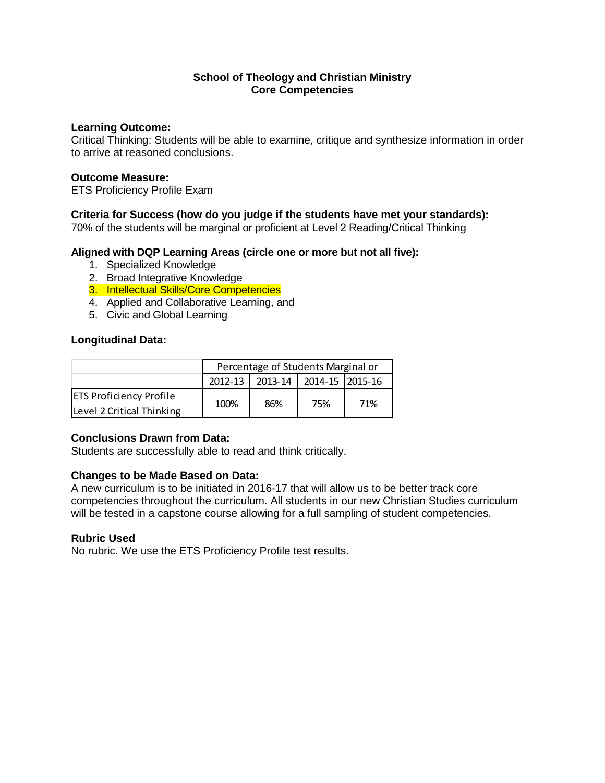## **School of Theology and Christian Ministry Core Competencies**

### **Learning Outcome:**

Critical Thinking: Students will be able to examine, critique and synthesize information in order to arrive at reasoned conclusions.

### **Outcome Measure:**

ETS Proficiency Profile Exam

# **Criteria for Success (how do you judge if the students have met your standards):**

70% of the students will be marginal or proficient at Level 2 Reading/Critical Thinking

### **Aligned with DQP Learning Areas (circle one or more but not all five):**

- 1. Specialized Knowledge
- 2. Broad Integrative Knowledge
- 3. Intellectual Skills/Core Competencies
- 4. Applied and Collaborative Learning, and
- 5. Civic and Global Learning

# **Longitudinal Data:**

|                                | Percentage of Students Marginal or |                         |     |     |  |
|--------------------------------|------------------------------------|-------------------------|-----|-----|--|
|                                | $2012 - 13$                        | 2013-14 2014-15 2015-16 |     |     |  |
| <b>ETS Proficiency Profile</b> | 100%                               | 86%                     | 75% | 71% |  |
| Level 2 Critical Thinking      |                                    |                         |     |     |  |

# **Conclusions Drawn from Data:**

Students are successfully able to read and think critically.

# **Changes to be Made Based on Data:**

A new curriculum is to be initiated in 2016-17 that will allow us to be better track core competencies throughout the curriculum. All students in our new Christian Studies curriculum will be tested in a capstone course allowing for a full sampling of student competencies.

# **Rubric Used**

No rubric. We use the ETS Proficiency Profile test results.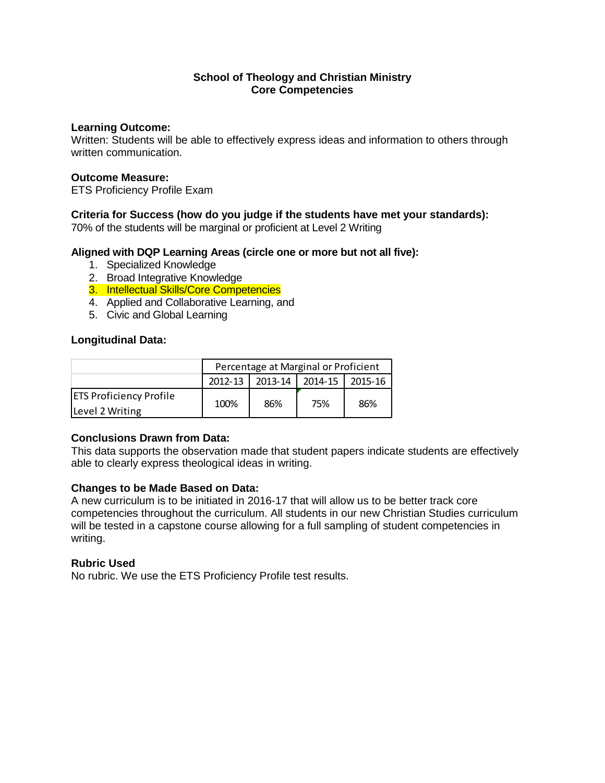## **School of Theology and Christian Ministry Core Competencies**

### **Learning Outcome:**

Written: Students will be able to effectively express ideas and information to others through written communication.

### **Outcome Measure:**

ETS Proficiency Profile Exam

### **Criteria for Success (how do you judge if the students have met your standards):**

70% of the students will be marginal or proficient at Level 2 Writing

### **Aligned with DQP Learning Areas (circle one or more but not all five):**

- 1. Specialized Knowledge
- 2. Broad Integrative Knowledge
- 3. Intellectual Skills/Core Competencies
- 4. Applied and Collaborative Learning, and
- 5. Civic and Global Learning

### **Longitudinal Data:**

|                                | Percentage at Marginal or Proficient |         |                |         |  |
|--------------------------------|--------------------------------------|---------|----------------|---------|--|
|                                | 2012-13                              | 2013-14 | $\mid$ 2014-15 | 2015-16 |  |
| <b>ETS Proficiency Profile</b> | 100%                                 | 86%     | 75%            | 86%     |  |
| Level 2 Writing                |                                      |         |                |         |  |

### **Conclusions Drawn from Data:**

This data supports the observation made that student papers indicate students are effectively able to clearly express theological ideas in writing.

### **Changes to be Made Based on Data:**

A new curriculum is to be initiated in 2016-17 that will allow us to be better track core competencies throughout the curriculum. All students in our new Christian Studies curriculum will be tested in a capstone course allowing for a full sampling of student competencies in writing.

### **Rubric Used**

No rubric. We use the ETS Proficiency Profile test results.